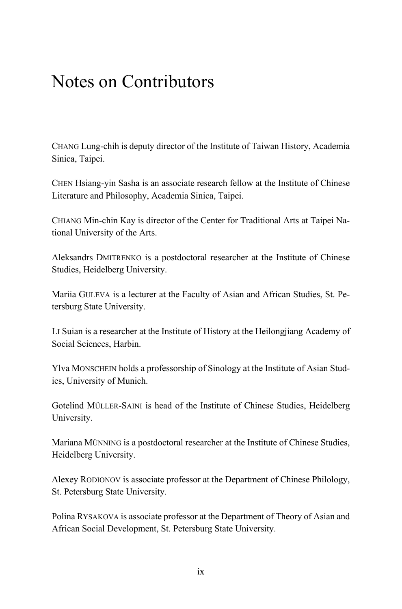## Notes on Contributors

CHANG Lung-chih is deputy director of the Institute of Taiwan History, Academia Sinica, Taipei.

CHEN Hsiang-yin Sasha is an associate research fellow at the Institute of Chinese Literature and Philosophy, Academia Sinica, Taipei.

CHIANG Min-chin Kay is director of the Center for Traditional Arts at Taipei National University of the Arts.

Aleksandrs DMITRENKO is a postdoctoral researcher at the Institute of Chinese Studies, Heidelberg University.

Mariia GULEVA is a lecturer at the Faculty of Asian and African Studies, St. Petersburg State University.

LI Suian is a researcher at the Institute of History at the Heilongjiang Academy of Social Sciences, Harbin.

Ylva MONSCHEIN holds a professorship of Sinology at the Institute of Asian Studies, University of Munich.

Gotelind MÜLLER-SAINI is head of the Institute of Chinese Studies, Heidelberg University.

Mariana MÜNNING is a postdoctoral researcher at the Institute of Chinese Studies, Heidelberg University.

Alexey RODIONOV is associate professor at the Department of Chinese Philology, St. Petersburg State University.

Polina RYSAKOVA is associate professor at the Department of Theory of Asian and African Social Development, St. Petersburg State University.